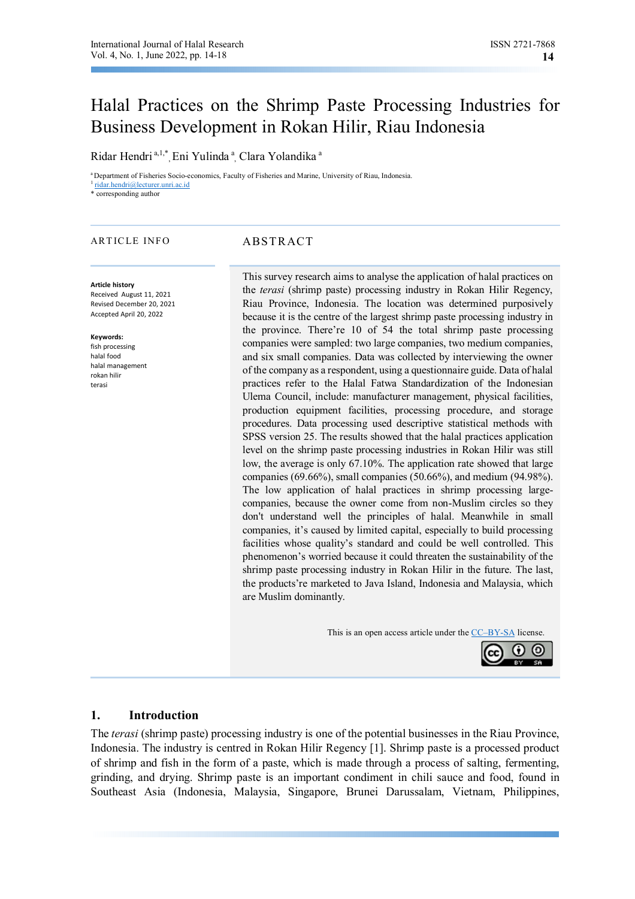# Halal Practices on the Shrimp Paste Processing Industries for Business Development in Rokan Hilir, Riau Indonesia

Ridar Hendri<sup>a, 1,\*</sup>, Eni Yulinda<sup>a</sup>, Clara Yolandika<sup>a</sup>

<sup>a</sup>Department of Fisheries Socio-economics, Faculty of Fisheries and Marine, University of Riau, Indonesia. 1 ridar.hendri@lecturer.unri.ac.id

\* corresponding author

#### ARTICLE INFO ABSTRACT

#### **Article history**

Received August 11, 2021 Revised December 20, 2021 Accepted April 20, 2022

#### **Keywords:**

fish processing halal food halal management rokan hilir terasi

This survey research aims to analyse the application of halal practices on the *terasi* (shrimp paste) processing industry in Rokan Hilir Regency, Riau Province, Indonesia. The location was determined purposively because it is the centre of the largest shrimp paste processing industry in the province. There're 10 of 54 the total shrimp paste processing companies were sampled: two large companies, two medium companies, and six small companies. Data was collected by interviewing the owner of the company as a respondent, using a questionnaire guide. Data of halal practices refer to the Halal Fatwa Standardization of the Indonesian Ulema Council, include: manufacturer management, physical facilities, production equipment facilities, processing procedure, and storage procedures. Data processing used descriptive statistical methods with SPSS version 25. The results showed that the halal practices application level on the shrimp paste processing industries in Rokan Hilir was still low, the average is only 67.10%. The application rate showed that large companies (69.66%), small companies (50.66%), and medium (94.98%). The low application of halal practices in shrimp processing largecompanies, because the owner come from non-Muslim circles so they don't understand well the principles of halal. Meanwhile in small companies, it's caused by limited capital, especially to build processing facilities whose quality's standard and could be well controlled. This phenomenon's worried because it could threaten the sustainability of the shrimp paste processing industry in Rokan Hilir in the future. The last, the products're marketed to Java Island, Indonesia and Malaysia, which are Muslim dominantly.

This is an open access article under the CC–BY-SA license.



#### **1. Introduction**

The *terasi* (shrimp paste) processing industry is one of the potential businesses in the Riau Province, Indonesia. The industry is centred in Rokan Hilir Regency [1]. Shrimp paste is a processed product of shrimp and fish in the form of a paste, which is made through a process of salting, fermenting, grinding, and drying. Shrimp paste is an important condiment in chili sauce and food, found in Southeast Asia (Indonesia, Malaysia, Singapore, Brunei Darussalam, Vietnam, Philippines,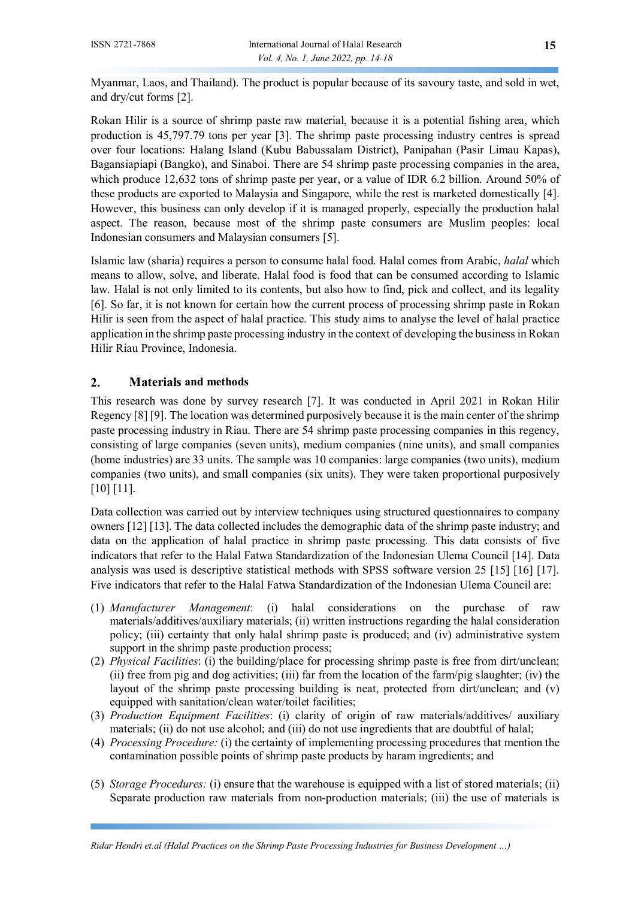Myanmar, Laos, and Thailand). The product is popular because of its savoury taste, and sold in wet, and dry/cut forms [2].

Rokan Hilir is a source of shrimp paste raw material, because it is a potential fishing area, which production is 45,797.79 tons per year [3]. The shrimp paste processing industry centres is spread over four locations: Halang Island (Kubu Babussalam District), Panipahan (Pasir Limau Kapas), Bagansiapiapi (Bangko), and Sinaboi. There are 54 shrimp paste processing companies in the area, which produce 12,632 tons of shrimp paste per year, or a value of IDR 6.2 billion. Around 50% of these products are exported to Malaysia and Singapore, while the rest is marketed domestically [4]. However, this business can only develop if it is managed properly, especially the production halal aspect. The reason, because most of the shrimp paste consumers are Muslim peoples: local Indonesian consumers and Malaysian consumers [5].

Islamic law (sharia) requires a person to consume halal food. Halal comes from Arabic, *halal* which means to allow, solve, and liberate. Halal food is food that can be consumed according to Islamic law. Halal is not only limited to its contents, but also how to find, pick and collect, and its legality [6]. So far, it is not known for certain how the current process of processing shrimp paste in Rokan Hilir is seen from the aspect of halal practice. This study aims to analyse the level of halal practice application in the shrimp paste processing industry in the context of developing the business in Rokan Hilir Riau Province, Indonesia.

# **2. Materials and methods**

This research was done by survey research [7]. It was conducted in April 2021 in Rokan Hilir Regency [8] [9]. The location was determined purposively because it is the main center of the shrimp paste processing industry in Riau. There are 54 shrimp paste processing companies in this regency, consisting of large companies (seven units), medium companies (nine units), and small companies (home industries) are 33 units. The sample was 10 companies: large companies (two units), medium companies (two units), and small companies (six units). They were taken proportional purposively [10] [11].

Data collection was carried out by interview techniques using structured questionnaires to company owners [12] [13]. The data collected includes the demographic data of the shrimp paste industry; and data on the application of halal practice in shrimp paste processing. This data consists of five indicators that refer to the Halal Fatwa Standardization of the Indonesian Ulema Council [14]. Data analysis was used is descriptive statistical methods with SPSS software version 25 [15] [16] [17]. Five indicators that refer to the Halal Fatwa Standardization of the Indonesian Ulema Council are:

- (1) *Manufacturer Management*: (i) halal considerations on the purchase of raw materials/additives/auxiliary materials; (ii) written instructions regarding the halal consideration policy; (iii) certainty that only halal shrimp paste is produced; and (iv) administrative system support in the shrimp paste production process;
- (2) *Physical Facilities*: (i) the building/place for processing shrimp paste is free from dirt/unclean; (ii) free from pig and dog activities; (iii) far from the location of the farm/pig slaughter; (iv) the layout of the shrimp paste processing building is neat, protected from dirt/unclean; and (v) equipped with sanitation/clean water/toilet facilities;
- (3) *Production Equipment Facilities*: (i) clarity of origin of raw materials/additives/ auxiliary materials; (ii) do not use alcohol; and (iii) do not use ingredients that are doubtful of halal;
- (4) *Processing Procedure:* (i) the certainty of implementing processing procedures that mention the contamination possible points of shrimp paste products by haram ingredients; and
- (5) *Storage Procedures:* (i) ensure that the warehouse is equipped with a list of stored materials; (ii) Separate production raw materials from non-production materials; (iii) the use of materials is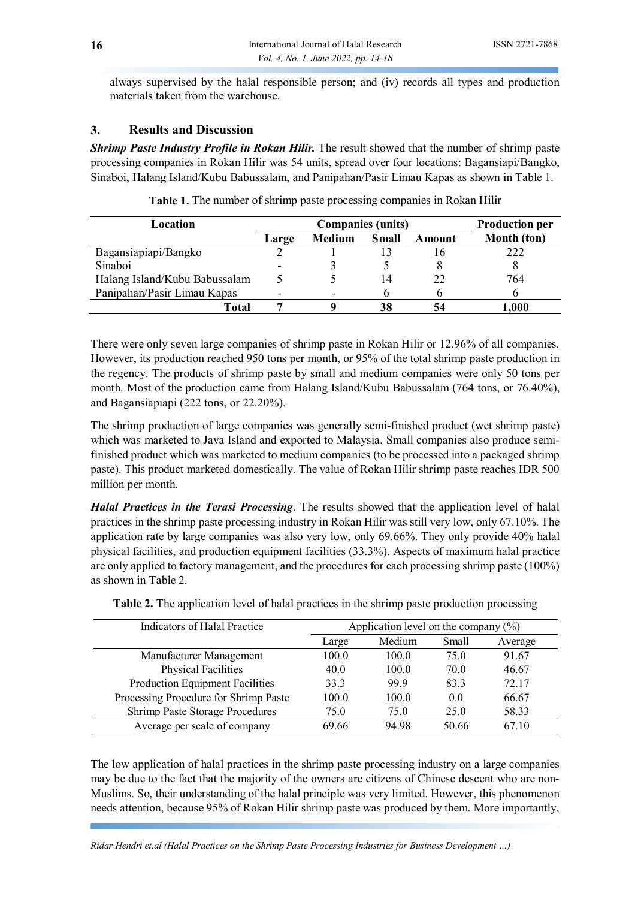always supervised by the halal responsible person; and (iv) records all types and production materials taken from the warehouse.

### **3. Results and Discussion**

*Shrimp Paste Industry Profile in Rokan Hilir.* The result showed that the number of shrimp paste processing companies in Rokan Hilir was 54 units, spread over four locations: Bagansiapi/Bangko, Sinaboi, Halang Island/Kubu Babussalam, and Panipahan/Pasir Limau Kapas as shown in Table 1.

| Location                      |       | <b>Companies (units)</b> | <b>Production per</b> |        |             |
|-------------------------------|-------|--------------------------|-----------------------|--------|-------------|
|                               | Large | <b>Medium</b>            | <b>Small</b>          | Amount | Month (ton) |
| Bagansiapiapi/Bangko          |       |                          |                       | Iб     | 222         |
| Sinaboi                       |       |                          |                       |        |             |
| Halang Island/Kubu Babussalam |       |                          | 4 ا                   | 22     | 764         |
| Panipahan/Pasir Limau Kapas   | -     |                          |                       |        |             |
| Total                         |       |                          | 38                    |        | .000.       |

**Table 1.** The number of shrimp paste processing companies in Rokan Hilir

There were only seven large companies of shrimp paste in Rokan Hilir or 12.96% of all companies. However, its production reached 950 tons per month, or 95% of the total shrimp paste production in the regency. The products of shrimp paste by small and medium companies were only 50 tons per month. Most of the production came from Halang Island/Kubu Babussalam (764 tons, or 76.40%), and Bagansiapiapi (222 tons, or 22.20%).

The shrimp production of large companies was generally semi-finished product (wet shrimp paste) which was marketed to Java Island and exported to Malaysia. Small companies also produce semifinished product which was marketed to medium companies (to be processed into a packaged shrimp paste). This product marketed domestically. The value of Rokan Hilir shrimp paste reaches IDR 500 million per month.

*Halal Practices in the Terasi Processing*. The results showed that the application level of halal practices in the shrimp paste processing industry in Rokan Hilir was still very low, only 67.10%. The application rate by large companies was also very low, only 69.66%. They only provide 40% halal physical facilities, and production equipment facilities (33.3%). Aspects of maximum halal practice are only applied to factory management, and the procedures for each processing shrimp paste (100%) as shown in Table 2.

| Indicators of Halal Practice          |       | Application level on the company $(\% )$ |       |         |  |
|---------------------------------------|-------|------------------------------------------|-------|---------|--|
|                                       | Large | Medium                                   | Small | Average |  |
| Manufacturer Management               | 100.0 | 100.0                                    | 75.0  | 91.67   |  |
| <b>Physical Facilities</b>            | 40.0  | 100.0                                    | 70.0  | 46.67   |  |
| Production Equipment Facilities       | 33.3  | 99.9                                     | 83.3  | 72.17   |  |
| Processing Procedure for Shrimp Paste | 100.0 | 100.0                                    | 0.0   | 66.67   |  |
| Shrimp Paste Storage Procedures       | 75.0  | 75.0                                     | 25.0  | 58.33   |  |
| Average per scale of company          | 69.66 | 94.98                                    | 50.66 | 67.10   |  |

**Table 2.** The application level of halal practices in the shrimp paste production processing

The low application of halal practices in the shrimp paste processing industry on a large companies may be due to the fact that the majority of the owners are citizens of Chinese descent who are non-Muslims. So, their understanding of the halal principle was very limited. However, this phenomenon needs attention, because 95% of Rokan Hilir shrimp paste was produced by them. More importantly,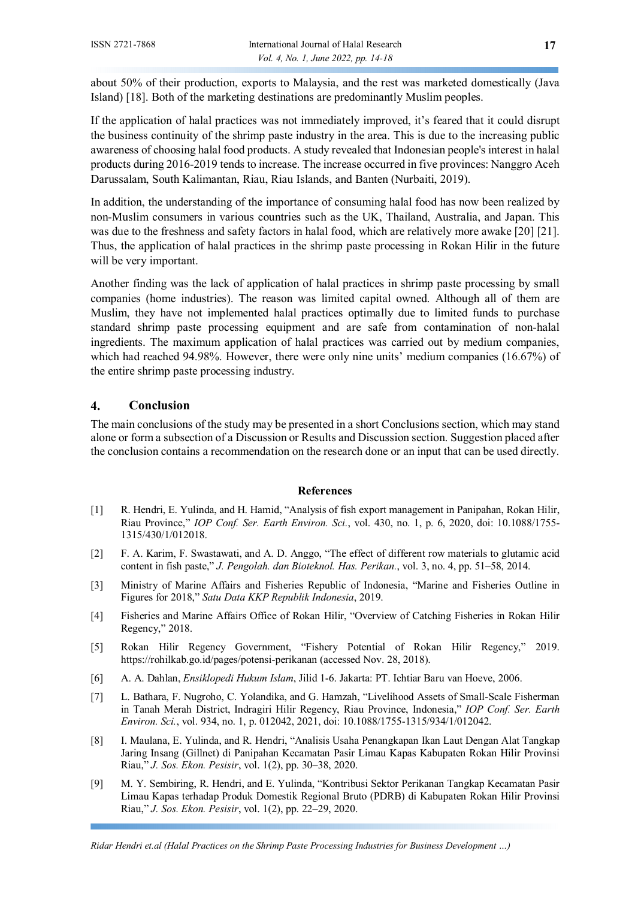about 50% of their production, exports to Malaysia, and the rest was marketed domestically (Java Island) [18]. Both of the marketing destinations are predominantly Muslim peoples.

If the application of halal practices was not immediately improved, it's feared that it could disrupt the business continuity of the shrimp paste industry in the area. This is due to the increasing public awareness of choosing halal food products. A study revealed that Indonesian people's interest in halal products during 2016-2019 tends to increase. The increase occurred in five provinces: Nanggro Aceh Darussalam, South Kalimantan, Riau, Riau Islands, and Banten (Nurbaiti, 2019).

In addition, the understanding of the importance of consuming halal food has now been realized by non-Muslim consumers in various countries such as the UK, Thailand, Australia, and Japan. This was due to the freshness and safety factors in halal food, which are relatively more awake [20] [21]. Thus, the application of halal practices in the shrimp paste processing in Rokan Hilir in the future will be very important.

Another finding was the lack of application of halal practices in shrimp paste processing by small companies (home industries). The reason was limited capital owned. Although all of them are Muslim, they have not implemented halal practices optimally due to limited funds to purchase standard shrimp paste processing equipment and are safe from contamination of non-halal ingredients. The maximum application of halal practices was carried out by medium companies, which had reached 94.98%. However, there were only nine units' medium companies (16.67%) of the entire shrimp paste processing industry.

## **4. Conclusion**

The main conclusions of the study may be presented in a short Conclusions section, which may stand alone or form a subsection of a Discussion or Results and Discussion section. Suggestion placed after the conclusion contains a recommendation on the research done or an input that can be used directly.

#### **References**

- [1] R. Hendri, E. Yulinda, and H. Hamid, "Analysis of fish export management in Panipahan, Rokan Hilir, Riau Province," *IOP Conf. Ser. Earth Environ. Sci.*, vol. 430, no. 1, p. 6, 2020, doi: 10.1088/1755- 1315/430/1/012018.
- [2] F. A. Karim, F. Swastawati, and A. D. Anggo, "The effect of different row materials to glutamic acid content in fish paste," *J. Pengolah. dan Bioteknol. Has. Perikan.*, vol. 3, no. 4, pp. 51–58, 2014.
- [3] Ministry of Marine Affairs and Fisheries Republic of Indonesia, "Marine and Fisheries Outline in Figures for 2018," *Satu Data KKP Republik Indonesia*, 2019.
- [4] Fisheries and Marine Affairs Office of Rokan Hilir, "Overview of Catching Fisheries in Rokan Hilir Regency," 2018.
- [5] Rokan Hilir Regency Government, "Fishery Potential of Rokan Hilir Regency," 2019. https://rohilkab.go.id/pages/potensi-perikanan (accessed Nov. 28, 2018).
- [6] A. A. Dahlan, *Ensiklopedi Hukum Islam*, Jilid 1-6. Jakarta: PT. Ichtiar Baru van Hoeve, 2006.
- [7] L. Bathara, F. Nugroho, C. Yolandika, and G. Hamzah, "Livelihood Assets of Small-Scale Fisherman in Tanah Merah District, Indragiri Hilir Regency, Riau Province, Indonesia," *IOP Conf. Ser. Earth Environ. Sci.*, vol. 934, no. 1, p. 012042, 2021, doi: 10.1088/1755-1315/934/1/012042.
- [8] I. Maulana, E. Yulinda, and R. Hendri, "Analisis Usaha Penangkapan Ikan Laut Dengan Alat Tangkap Jaring Insang (Gillnet) di Panipahan Kecamatan Pasir Limau Kapas Kabupaten Rokan Hilir Provinsi Riau," *J. Sos. Ekon. Pesisir*, vol. 1(2), pp. 30–38, 2020.
- [9] M. Y. Sembiring, R. Hendri, and E. Yulinda, "Kontribusi Sektor Perikanan Tangkap Kecamatan Pasir Limau Kapas terhadap Produk Domestik Regional Bruto (PDRB) di Kabupaten Rokan Hilir Provinsi Riau," *J. Sos. Ekon. Pesisir*, vol. 1(2), pp. 22–29, 2020.